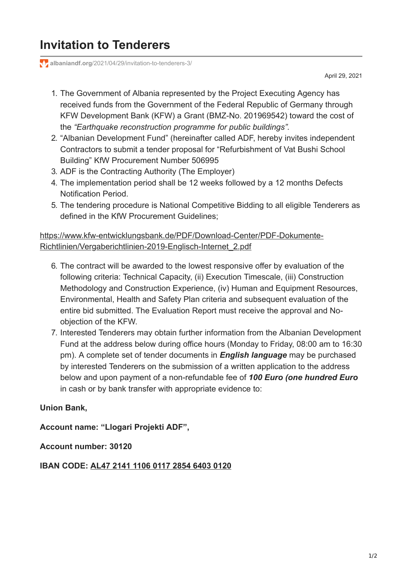# **Invitation to Tenderers**

**albaniandf.org**[/2021/04/29/invitation-to-tenderers-3/](https://www.albaniandf.org/2021/04/29/invitation-to-tenderers-3/)

April 29, 2021

- 1. The Government of Albania represented by the Project Executing Agency has received funds from the Government of the Federal Republic of Germany through KFW Development Bank (KFW) a Grant (BMZ-No. 201969542) toward the cost of the *"Earthquake reconstruction programme for public buildings".*
- 2. "Albanian Development Fund" (hereinafter called ADF, hereby invites independent Contractors to submit a tender proposal for "Refurbishment of Vat Bushi School Building" KfW Procurement Number 506995
- 3. ADF is the Contracting Authority (The Employer)
- 4. The implementation period shall be 12 weeks followed by a 12 months Defects Notification Period.
- 5. The tendering procedure is National Competitive Bidding to all eligible Tenderers as defined in the KfW Procurement Guidelines;

## [https://www.kfw-entwicklungsbank.de/PDF/Download-Center/PDF-Dokumente-](https://www.kfw-entwicklungsbank.de/PDF/Download-Center/PDF-Dokumente-Richtlinien/Vergaberichtlinien-2019-Englisch-Internet_2.pdf)Richtlinien/Vergaberichtlinien-2019-Englisch-Internet\_2.pdf

- 6. The contract will be awarded to the lowest responsive offer by evaluation of the following criteria: Technical Capacity, (ii) Execution Timescale, (iii) Construction Methodology and Construction Experience, (iv) Human and Equipment Resources, Environmental, Health and Safety Plan criteria and subsequent evaluation of the entire bid submitted. The Evaluation Report must receive the approval and Noobjection of the KFW.
- 7. Interested Tenderers may obtain further information from the Albanian Development Fund at the address below during office hours (Monday to Friday, 08:00 am to 16:30 pm). A complete set of tender documents in *English language* may be purchased by interested Tenderers on the submission of a written application to the address below and upon payment of a non-refundable fee of *100 Euro (one hundred Euro* in cash or by bank transfer with appropriate evidence to:

### **Union Bank,**

**Account name: "Llogari Projekti ADF",**

**Account number: 30120**

#### **IBAN CODE: AL47 2141 1106 0117 2854 6403 0120**